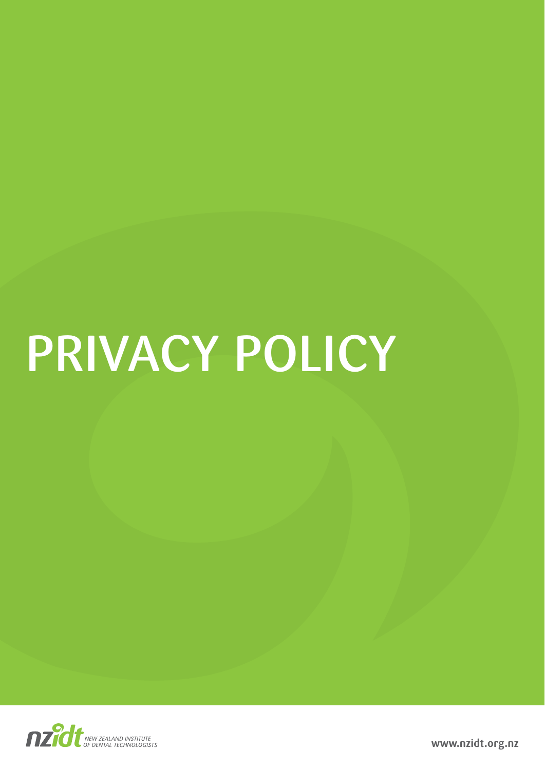# PRIVACY POLICY



**www.nzidt.org.nz**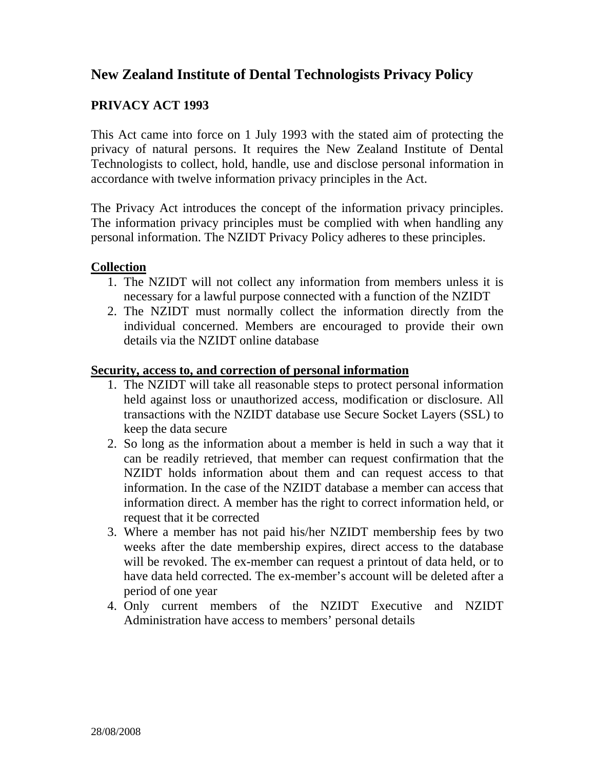# **New Zealand Institute of Dental Technologists Privacy Policy**

## **PRIVACY ACT 1993**

This Act came into force on 1 July 1993 with the stated aim of protecting the privacy of natural persons. It requires the New Zealand Institute of Dental Technologists to collect, hold, handle, use and disclose personal information in accordance with twelve information privacy principles in the Act.

The Privacy Act introduces the concept of the information privacy principles. The information privacy principles must be complied with when handling any personal information. The NZIDT Privacy Policy adheres to these principles.

#### **Collection**

- 1. The NZIDT will not collect any information from members unless it is necessary for a lawful purpose connected with a function of the NZIDT
- 2. The NZIDT must normally collect the information directly from the individual concerned. Members are encouraged to provide their own details via the NZIDT online database

#### **Security, access to, and correction of personal information**

- 1. The NZIDT will take all reasonable steps to protect personal information held against loss or unauthorized access, modification or disclosure. All transactions with the NZIDT database use Secure Socket Layers (SSL) to keep the data secure
- 2. So long as the information about a member is held in such a way that it can be readily retrieved, that member can request confirmation that the NZIDT holds information about them and can request access to that information. In the case of the NZIDT database a member can access that information direct. A member has the right to correct information held, or request that it be corrected
- 3. Where a member has not paid his/her NZIDT membership fees by two weeks after the date membership expires, direct access to the database will be revoked. The ex-member can request a printout of data held, or to have data held corrected. The ex-member's account will be deleted after a period of one year
- 4. Only current members of the NZIDT Executive and NZIDT Administration have access to members' personal details